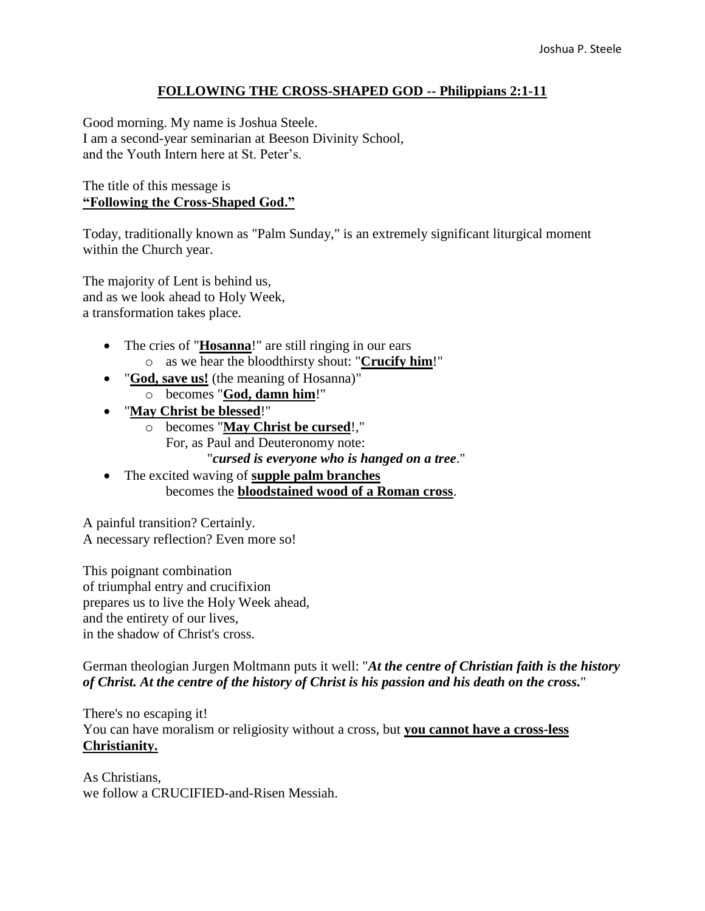## **FOLLOWING THE CROSS-SHAPED GOD -- Philippians 2:1-11**

Good morning. My name is Joshua Steele. I am a second-year seminarian at Beeson Divinity School, and the Youth Intern here at St. Peter's.

#### The title of this message is **"Following the Cross-Shaped God."**

Today, traditionally known as "Palm Sunday," is an extremely significant liturgical moment within the Church year.

The majority of Lent is behind us, and as we look ahead to Holy Week, a transformation takes place.

- The cries of "**Hosanna**!" are still ringing in our ears o as we hear the bloodthirsty shout: "**Crucify him**!"
- "**God, save us!** (the meaning of Hosanna)" o becomes "**God, damn him**!"
- "**May Christ be blessed**!"
	- o becomes "**May Christ be cursed**!," For, as Paul and Deuteronomy note: "*cursed is everyone who is hanged on a tree*."
- The excited waving of **supple palm branches** becomes the **bloodstained wood of a Roman cross**.

A painful transition? Certainly. A necessary reflection? Even more so!

This poignant combination of triumphal entry and crucifixion prepares us to live the Holy Week ahead, and the entirety of our lives, in the shadow of Christ's cross.

German theologian Jurgen Moltmann puts it well: "*At the centre of Christian faith is the history of Christ. At the centre of the history of Christ is his passion and his death on the cross.*"

There's no escaping it! You can have moralism or religiosity without a cross, but **you cannot have a cross-less Christianity.**

As Christians, we follow a CRUCIFIED-and-Risen Messiah.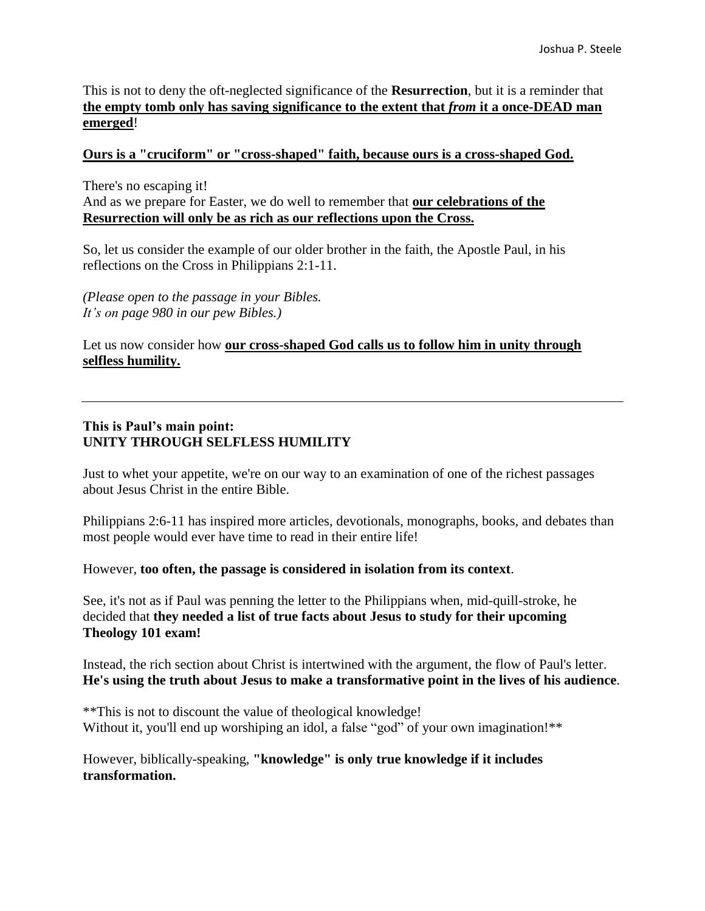This is not to deny the oft-neglected significance of the **Resurrection**, but it is a reminder that **the empty tomb only has saving significance to the extent that** *from* **it a once-DEAD man emerged**!

#### **Ours is a "cruciform" or "cross-shaped" faith, because ours is a cross-shaped God.**

There's no escaping it! And as we prepare for Easter, we do well to remember that **our celebrations of the Resurrection will only be as rich as our reflections upon the Cross.**

So, let us consider the example of our older brother in the faith, the Apostle Paul, in his reflections on the Cross in Philippians 2:1-11.

*(Please open to the passage in your Bibles. It's on page 980 in our pew Bibles.)*

Let us now consider how **our cross-shaped God calls us to follow him in unity through selfless humility.**

## **This is Paul's main point: UNITY THROUGH SELFLESS HUMILITY**

Just to whet your appetite, we're on our way to an examination of one of the richest passages about Jesus Christ in the entire Bible.

Philippians 2:6-11 has inspired more articles, devotionals, monographs, books, and debates than most people would ever have time to read in their entire life!

However, **too often, the passage is considered in isolation from its context**.

See, it's not as if Paul was penning the letter to the Philippians when, mid-quill-stroke, he decided that **they needed a list of true facts about Jesus to study for their upcoming Theology 101 exam!** 

Instead, the rich section about Christ is intertwined with the argument, the flow of Paul's letter. **He's using the truth about Jesus to make a transformative point in the lives of his audience**.

\*\*This is not to discount the value of theological knowledge! Without it, you'll end up worshiping an idol, a false "god" of your own imagination!\*\*

However, biblically-speaking, **"knowledge" is only true knowledge if it includes transformation.**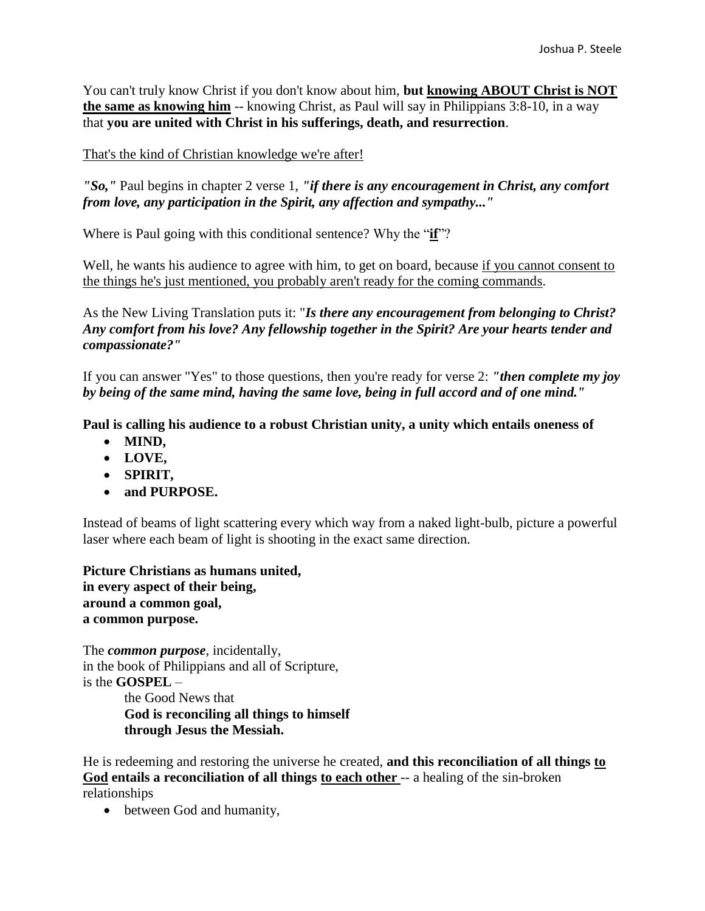You can't truly know Christ if you don't know about him, **but knowing ABOUT Christ is NOT the same as knowing him** -- knowing Christ, as Paul will say in Philippians 3:8-10, in a way that **you are united with Christ in his sufferings, death, and resurrection**.

#### That's the kind of Christian knowledge we're after!

*"So,"* Paul begins in chapter 2 verse 1, *"if there is any encouragement in Christ, any comfort from love, any participation in the Spirit, any affection and sympathy..."*

Where is Paul going with this conditional sentence? Why the "**if**"?

Well, he wants his audience to agree with him, to get on board, because if you cannot consent to the things he's just mentioned, you probably aren't ready for the coming commands.

As the New Living Translation puts it: "*Is there any encouragement from belonging to Christ? Any comfort from his love? Any fellowship together in the Spirit? Are your hearts tender and compassionate?"*

If you can answer "Yes" to those questions, then you're ready for verse 2: *"then complete my joy by being of the same mind, having the same love, being in full accord and of one mind."*

**Paul is calling his audience to a robust Christian unity, a unity which entails oneness of** 

- **MIND,**
- **LOVE,**
- **SPIRIT,**
- **and PURPOSE.**

Instead of beams of light scattering every which way from a naked light-bulb, picture a powerful laser where each beam of light is shooting in the exact same direction.

**Picture Christians as humans united, in every aspect of their being, around a common goal, a common purpose.**

The *common purpose*, incidentally, in the book of Philippians and all of Scripture, is the **GOSPEL** –

the Good News that **God is reconciling all things to himself through Jesus the Messiah.** 

He is redeeming and restoring the universe he created, **and this reconciliation of all things to God entails a reconciliation of all things to each other** -- a healing of the sin-broken relationships

• between God and humanity,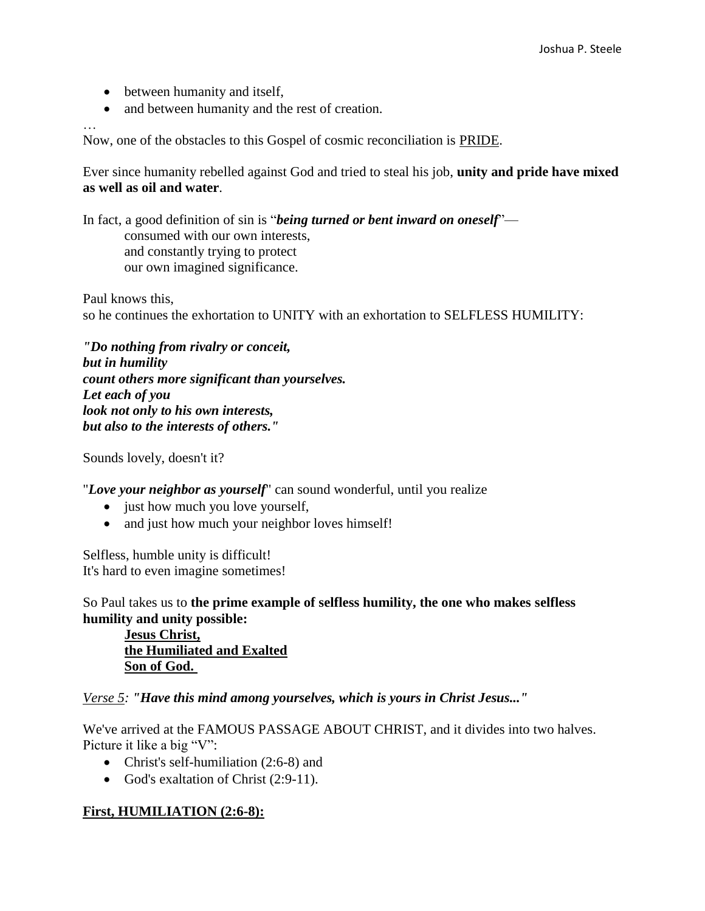- between humanity and itself,
- and between humanity and the rest of creation.

…

Now, one of the obstacles to this Gospel of cosmic reconciliation is PRIDE.

Ever since humanity rebelled against God and tried to steal his job, **unity and pride have mixed as well as oil and water**.

In fact, a good definition of sin is "*being turned or bent inward on oneself*" consumed with our own interests, and constantly trying to protect our own imagined significance.

Paul knows this, so he continues the exhortation to UNITY with an exhortation to SELFLESS HUMILITY:

*"Do nothing from rivalry or conceit, but in humility count others more significant than yourselves. Let each of you look not only to his own interests, but also to the interests of others."*

Sounds lovely, doesn't it?

"*Love your neighbor as yourself*" can sound wonderful, until you realize

- just how much you love yourself,
- and just how much your neighbor loves himself!

Selfless, humble unity is difficult! It's hard to even imagine sometimes!

So Paul takes us to **the prime example of selfless humility, the one who makes selfless humility and unity possible:** 

**Jesus Christ, the Humiliated and Exalted Son of God.**

*Verse 5: "Have this mind among yourselves, which is yours in Christ Jesus..."*

We've arrived at the FAMOUS PASSAGE ABOUT CHRIST, and it divides into two halves. Picture it like a big "V":

- Christ's self-humiliation (2:6-8) and
- God's exaltation of Christ (2:9-11).

# **First, HUMILIATION (2:6-8):**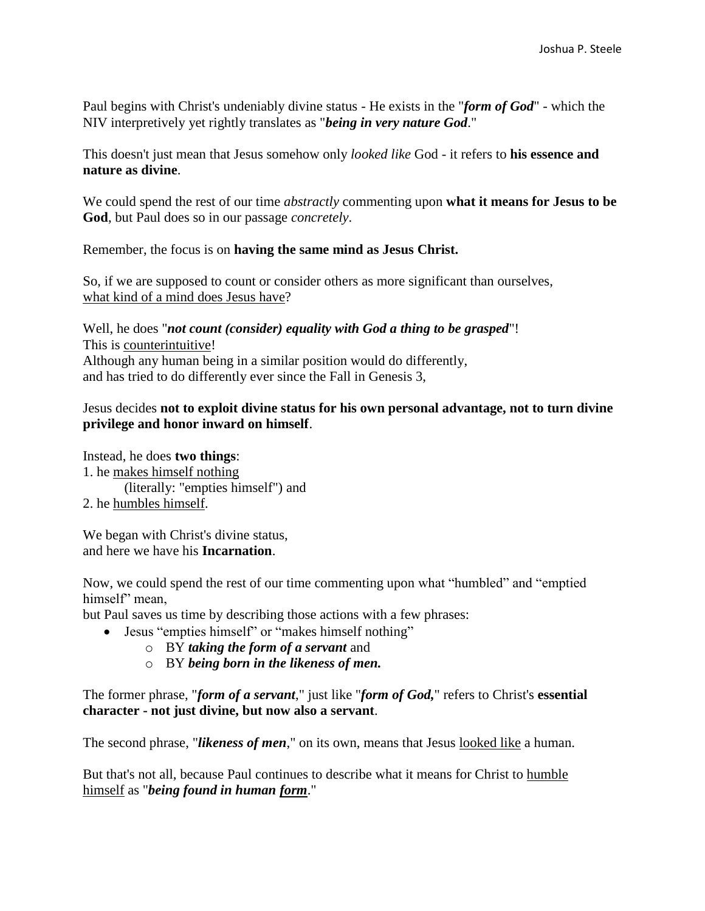Paul begins with Christ's undeniably divine status - He exists in the "*form of God*" - which the NIV interpretively yet rightly translates as "*being in very nature God*."

This doesn't just mean that Jesus somehow only *looked like* God - it refers to **his essence and nature as divine**.

We could spend the rest of our time *abstractly* commenting upon **what it means for Jesus to be God**, but Paul does so in our passage *concretely*.

Remember, the focus is on **having the same mind as Jesus Christ.** 

So, if we are supposed to count or consider others as more significant than ourselves, what kind of a mind does Jesus have?

Well, he does "*not count (consider) equality with God a thing to be grasped*"! This is counterintuitive! Although any human being in a similar position would do differently, and has tried to do differently ever since the Fall in Genesis 3,

# Jesus decides **not to exploit divine status for his own personal advantage, not to turn divine privilege and honor inward on himself**.

Instead, he does **two things**: 1. he makes himself nothing (literally: "empties himself") and 2. he humbles himself.

We began with Christ's divine status, and here we have his **Incarnation**.

Now, we could spend the rest of our time commenting upon what "humbled" and "emptied himself" mean.

but Paul saves us time by describing those actions with a few phrases:

- Jesus "empties himself" or "makes himself nothing"
	- o BY *taking the form of a servant* and
	- o BY *being born in the likeness of men.*

The former phrase, "*form of a servant*," just like "*form of God,*" refers to Christ's **essential character - not just divine, but now also a servant**.

The second phrase, "*likeness of men*," on its own, means that Jesus looked like a human.

But that's not all, because Paul continues to describe what it means for Christ to humble himself as "*being found in human form*."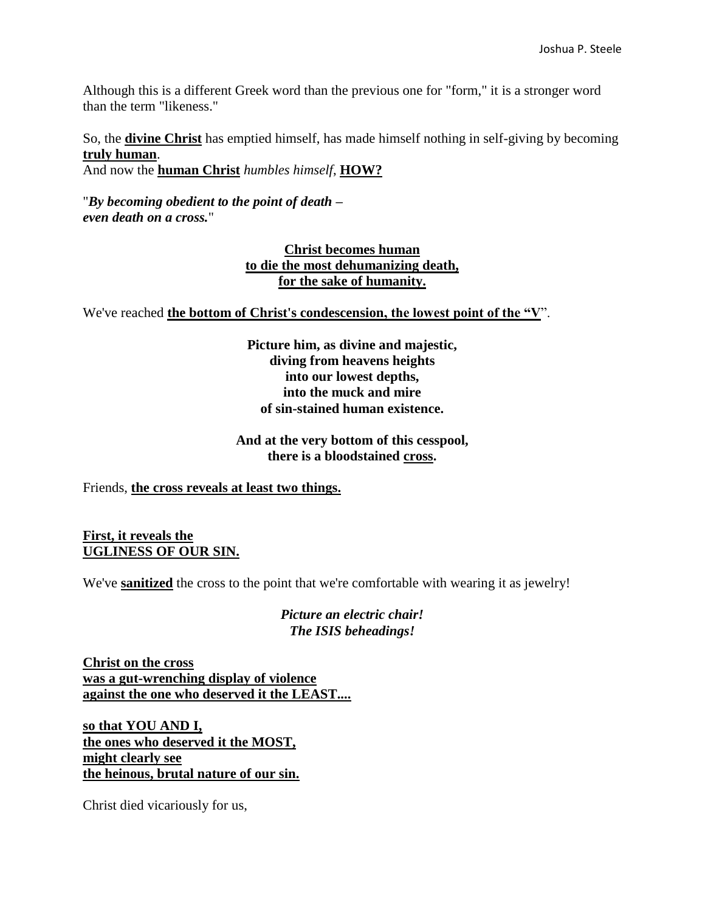Although this is a different Greek word than the previous one for "form," it is a stronger word than the term "likeness."

So, the **divine Christ** has emptied himself, has made himself nothing in self-giving by becoming **truly human**.

And now the **human Christ** *humbles himself*, **HOW?**

"*By becoming obedient to the point of death – even death on a cross.*"

## **Christ becomes human to die the most dehumanizing death, for the sake of humanity.**

We've reached **the bottom of Christ's condescension, the lowest point of the "V**".

**Picture him, as divine and majestic, diving from heavens heights into our lowest depths, into the muck and mire of sin-stained human existence.**

## **And at the very bottom of this cesspool, there is a bloodstained cross.**

Friends, **the cross reveals at least two things.**

## **First, it reveals the UGLINESS OF OUR SIN.**

We've **sanitized** the cross to the point that we're comfortable with wearing it as jewelry!

*Picture an electric chair! The ISIS beheadings!*

**Christ on the cross was a gut-wrenching display of violence against the one who deserved it the LEAST....**

**so that YOU AND I, the ones who deserved it the MOST, might clearly see the heinous, brutal nature of our sin.** 

Christ died vicariously for us,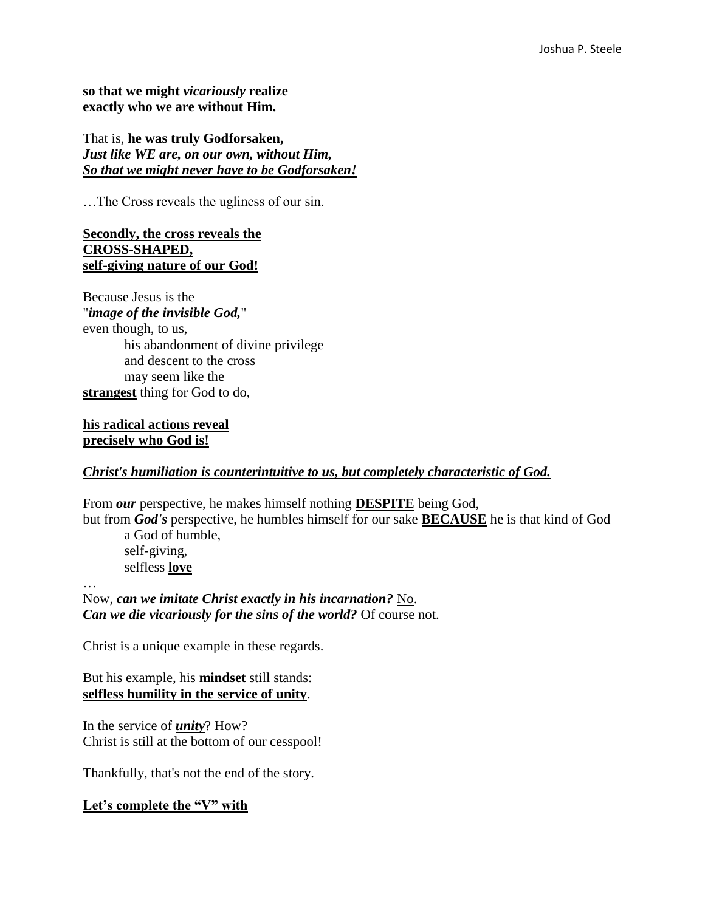**so that we might** *vicariously* **realize exactly who we are without Him.**

That is, **he was truly Godforsaken,** *Just like WE are, on our own, without Him, So that we might never have to be Godforsaken!*

…The Cross reveals the ugliness of our sin.

#### **Secondly, the cross reveals the CROSS-SHAPED, self-giving nature of our God!**

Because Jesus is the "*image of the invisible God,*" even though, to us, his abandonment of divine privilege and descent to the cross may seem like the **strangest** thing for God to do,

## **his radical actions reveal precisely who God is!**

#### *Christ's humiliation is counterintuitive to us, but completely characteristic of God.*

From *our* perspective, he makes himself nothing **DESPITE** being God, but from *God's* perspective, he humbles himself for our sake **BECAUSE** he is that kind of God –

a God of humble, self-giving, selfless **love**

… Now, *can we imitate Christ exactly in his incarnation?* No. *Can we die vicariously for the sins of the world?* Of course not.

Christ is a unique example in these regards.

But his example, his **mindset** still stands: **selfless humility in the service of unity**.

In the service of *unity*? How? Christ is still at the bottom of our cesspool!

Thankfully, that's not the end of the story.

**Let's complete the "V" with**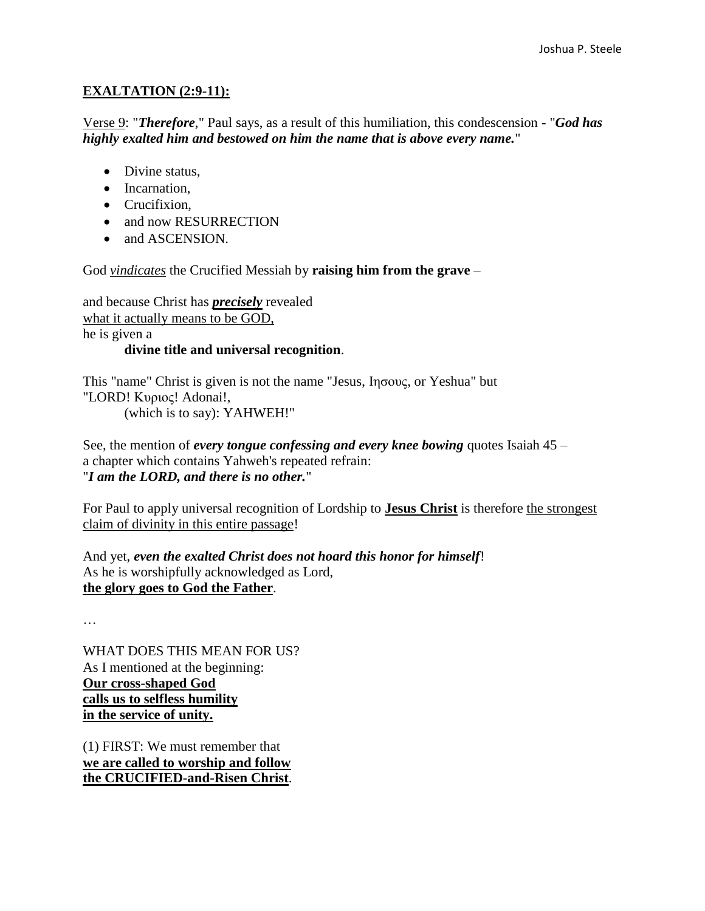# **EXALTATION (2:9-11):**

Verse 9: "*Therefore*," Paul says, as a result of this humiliation, this condescension - "*God has highly exalted him and bestowed on him the name that is above every name.*"

- Divine status,
- Incarnation.
- Crucifixion.
- and now RESURRECTION
- and ASCENSION.

God *vindicates* the Crucified Messiah by **raising him from the grave** –

and because Christ has *precisely* revealed what it actually means to be GOD, he is given a

# **divine title and universal recognition**.

This "name" Christ is given is not the name "Jesus, Ιησους, or Yeshua" but "LORD! Κυριος! Adonai!, (which is to say): YAHWEH!"

See, the mention of *every tongue confessing and every knee bowing* quotes Isaiah 45 – a chapter which contains Yahweh's repeated refrain: "*I am the LORD, and there is no other.*"

For Paul to apply universal recognition of Lordship to **Jesus Christ** is therefore the strongest claim of divinity in this entire passage!

And yet, *even the exalted Christ does not hoard this honor for himself*! As he is worshipfully acknowledged as Lord, **the glory goes to God the Father**.

…

WHAT DOES THIS MEAN FOR US? As I mentioned at the beginning: **Our cross-shaped God calls us to selfless humility in the service of unity.**

(1) FIRST: We must remember that **we are called to worship and follow the CRUCIFIED-and-Risen Christ**.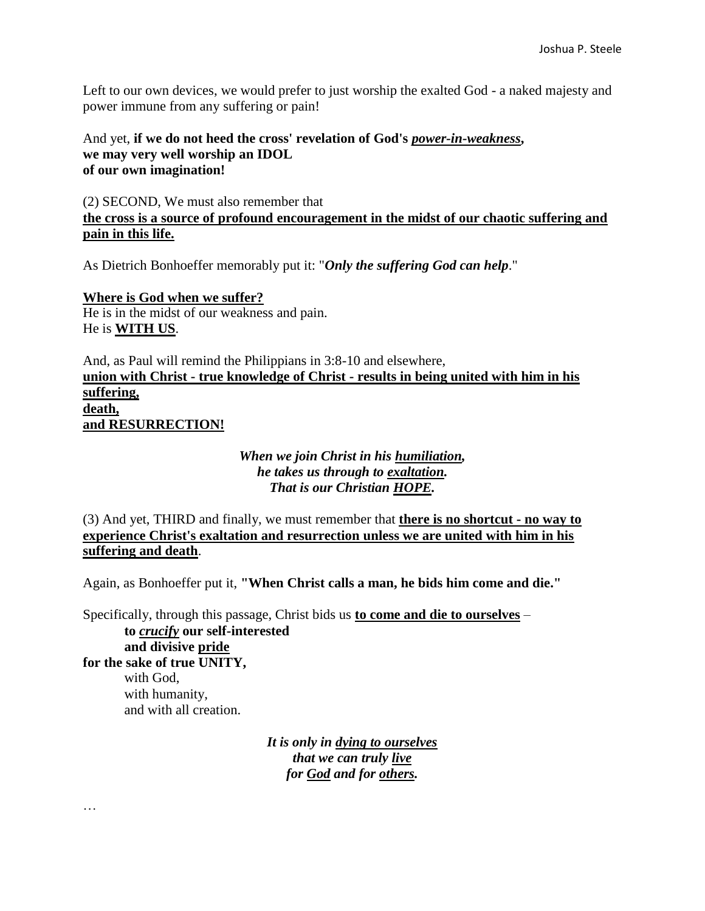Left to our own devices, we would prefer to just worship the exalted God - a naked majesty and power immune from any suffering or pain!

And yet, **if we do not heed the cross' revelation of God's** *power-in-weakness***, we may very well worship an IDOL of our own imagination!**

(2) SECOND, We must also remember that **the cross is a source of profound encouragement in the midst of our chaotic suffering and pain in this life.** 

As Dietrich Bonhoeffer memorably put it: "*Only the suffering God can help*."

**Where is God when we suffer?**  He is in the midst of our weakness and pain. He is **WITH US**.

…

And, as Paul will remind the Philippians in 3:8-10 and elsewhere, **union with Christ - true knowledge of Christ - results in being united with him in his suffering, death, and RESURRECTION!** 

## *When we join Christ in his humiliation, he takes us through to exaltation. That is our Christian HOPE.*

(3) And yet, THIRD and finally, we must remember that **there is no shortcut - no way to experience Christ's exaltation and resurrection unless we are united with him in his suffering and death**.

Again, as Bonhoeffer put it, **"When Christ calls a man, he bids him come and die."**

Specifically, through this passage, Christ bids us **to come and die to ourselves** – **to** *crucify* **our self-interested and divisive pride for the sake of true UNITY,**  with God, with humanity, and with all creation.

> *It is only in dying to ourselves that we can truly live for God and for others.*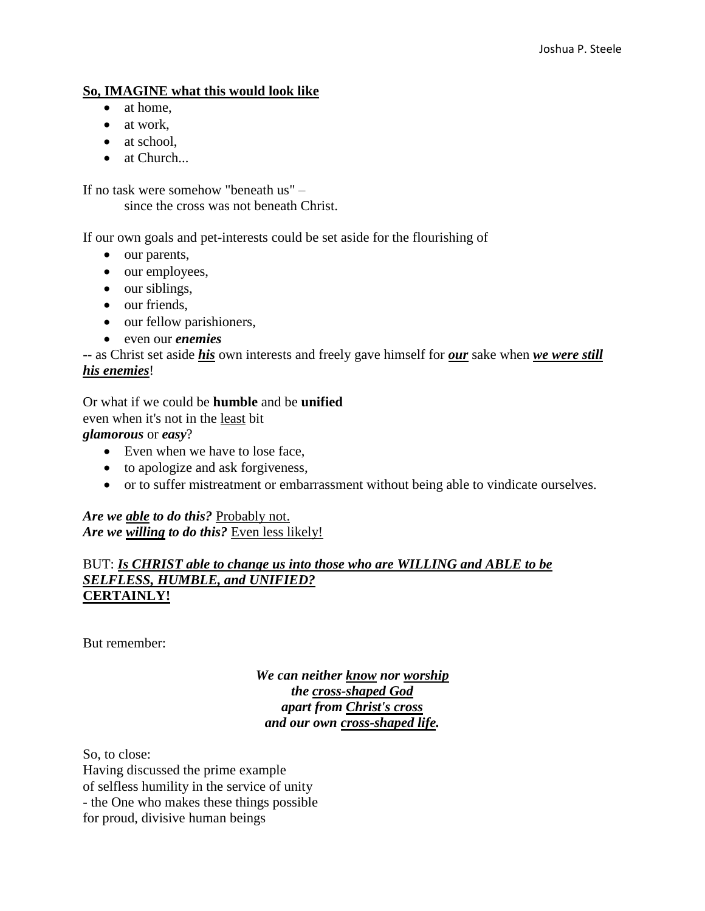# **So, IMAGINE what this would look like**

- at home.
- at work,
- at school.
- at Church...

If no task were somehow "beneath us" –

since the cross was not beneath Christ.

If our own goals and pet-interests could be set aside for the flourishing of

- our parents,
- our employees,
- $\bullet$  our siblings,
- our friends,
- our fellow parishioners,
- even our *enemies*

-- as Christ set aside *his* own interests and freely gave himself for *our* sake when *we were still his enemies*!

Or what if we could be **humble** and be **unified** even when it's not in the least bit *glamorous* or *easy*?

- Even when we have to lose face,
- to apologize and ask forgiveness,
- or to suffer mistreatment or embarrassment without being able to vindicate ourselves.

*Are we able to do this?* Probably not. *Are we willing to do this?* Even less likely!

### BUT: *Is CHRIST able to change us into those who are WILLING and ABLE to be SELFLESS, HUMBLE, and UNIFIED?*  **CERTAINLY!**

But remember:

*We can neither know nor worship the cross-shaped God apart from Christ's cross and our own cross-shaped life.*

So, to close: Having discussed the prime example of selfless humility in the service of unity - the One who makes these things possible for proud, divisive human beings